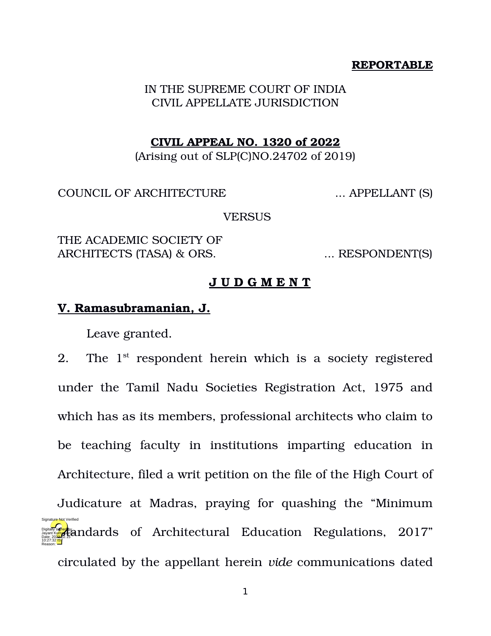## **REPORTABLE**

IN THE SUPREME COURT OF INDIA CIVIL APPELLATE JURISDICTION

## **CIVIL APPEAL NO. 1320 of 2022**

(Arising out of SLP(C)NO.24702 of 2019)

COUNCIL OF ARCHITECTURE ... APPELLANT (S)

**VERSUS** 

THE ACADEMIC SOCIETY OF ARCHITECTS (TASA) & ORS. . . . . . . . . RESPONDENT(S)

## **J U D G M E N T**

## **V. Ramasubramanian, J.**

Leave granted.

2. The  $1^{st}$  respondent herein which is a society registered under the Tamil Nadu Societies Registration Act, 1975 and which has as its members, professional architects who claim to be teaching faculty in institutions imparting education in Architecture, filed a writ petition on the file of the High Court of

Judicature at Madras, praying for quashing the "Minimum Digital **Standards** of Architectural Education Regulations, 2017" circulated by the appellant herein *vide* communications dated 10:27:32 IST Reason: Signature Not Verified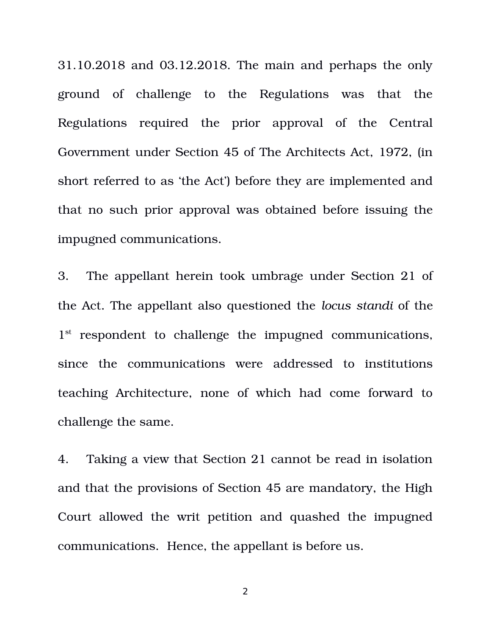31.10.2018 and 03.12.2018. The main and perhaps the only ground of challenge to the Regulations was that the Regulations required the prior approval of the Central Government under Section 45 of The Architects Act, 1972, (in short referred to as 'the Act') before they are implemented and that no such prior approval was obtained before issuing the impugned communications.

3. The appellant herein took umbrage under Section 21 of the Act. The appellant also questioned the *locus standi* of the 1<sup>st</sup> respondent to challenge the impugned communications, since the communications were addressed to institutions teaching Architecture, none of which had come forward to challenge the same.

4. Taking a view that Section 21 cannot be read in isolation and that the provisions of Section 45 are mandatory, the High Court allowed the writ petition and quashed the impugned communications. Hence, the appellant is before us.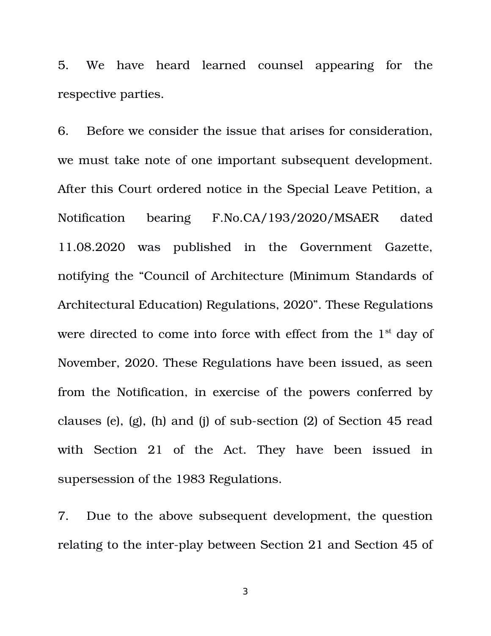5. We have heard learned counsel appearing for the respective parties.

6. Before we consider the issue that arises for consideration, we must take note of one important subsequent development. After this Court ordered notice in the Special Leave Petition, a Notification bearing F.No.CA/193/2020/MSAER dated 11.08.2020 was published in the Government Gazette, notifying the "Council of Architecture (Minimum Standards of Architectural Education) Regulations, 2020". These Regulations were directed to come into force with effect from the  $1<sup>st</sup>$  day of November, 2020. These Regulations have been issued, as seen from the Notification, in exercise of the powers conferred by clauses (e),  $(g)$ ,  $(h)$  and  $(i)$  of sub-section  $(2)$  of Section 45 read with Section 21 of the Act. They have been issued in supersession of the 1983 Regulations.

7. Due to the above subsequent development, the question relating to the inter-play between Section 21 and Section 45 of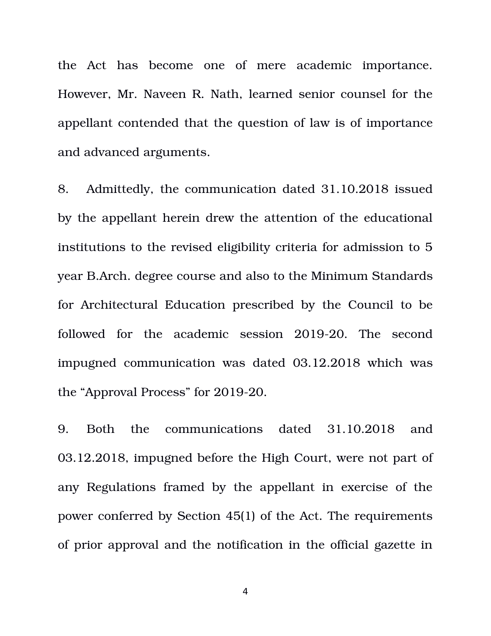the Act has become one of mere academic importance. However, Mr. Naveen R. Nath, learned senior counsel for the appellant contended that the question of law is of importance and advanced arguments.

8. Admittedly, the communication dated 31.10.2018 issued by the appellant herein drew the attention of the educational institutions to the revised eligibility criteria for admission to 5 year B.Arch. degree course and also to the Minimum Standards for Architectural Education prescribed by the Council to be followed for the academic session 2019-20. The second impugned communication was dated 03.12.2018 which was the "Approval Process" for 2019-20.

9. Both the communications dated 31.10.2018 and 03.12.2018, impugned before the High Court, were not part of any Regulations framed by the appellant in exercise of the power conferred by Section 45(1) of the Act. The requirements of prior approval and the notification in the official gazette in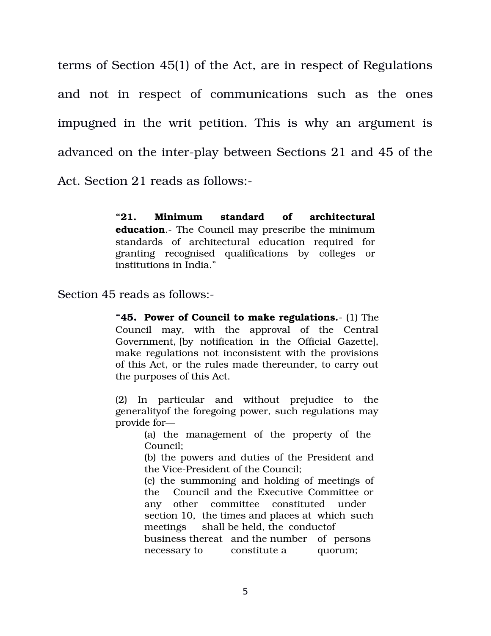terms of Section 45(1) of the Act, are in respect of Regulations and not in respect of communications such as the ones impugned in the writ petition. This is why an argument is advanced on the inter-play between Sections 21 and 45 of the

Act. Section 21 reads as follows:

**"21. Minimum standard of architectural education**. The Council may prescribe the minimum standards of architectural education required for granting recognised qualifications by colleges or institutions in India."

Section 45 reads as follows:

**"45. Power of Council to make regulations.** (1) The Council may, with the approval of the Central Government,  $[$ by notification in the Official Gazette], make regulations not inconsistent with the provisions of this Act, or the rules made thereunder, to carry out the purposes of this Act.

(2) In particular and without prejudice to the generalityof the foregoing power, such regulations may provide for—

> (a) the management of the property of the Council;

> (b) the powers and duties of the President and the Vice-President of the Council;

> (c) the summoning and holding of meetings of the Council and the Executive Committee or any other committee constituted under section 10, the times and places at which such meetings shall be held, the conductof business thereat and the number of persons necessary to constitute a quorum;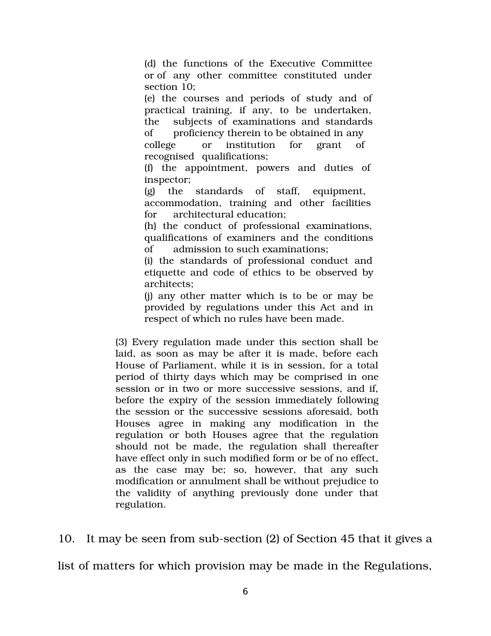(d) the functions of the Executive Committee or of any other committee constituted under section 10;

(e) the courses and periods of study and of practical training, if any, to be undertaken, the subjects of examinations and standards of proficiency therein to be obtained in any college or institution for grant of recognised qualifications;

(f) the appointment, powers and duties of inspector;

(g) the standards of staff, equipment, accommodation, training and other facilities for architectural education;

(h) the conduct of professional examinations, qualifications of examiners and the conditions of admission to such examinations;

(i) the standards of professional conduct and etiquette and code of ethics to be observed by architects;

(j) any other matter which is to be or may be provided by regulations under this Act and in respect of which no rules have been made.

(3) Every regulation made under this section shall be laid, as soon as may be after it is made, before each House of Parliament, while it is in session, for a total period of thirty days which may be comprised in one session or in two or more successive sessions, and if, before the expiry of the session immediately following the session or the successive sessions aforesaid, both Houses agree in making any modification in the regulation or both Houses agree that the regulation should not be made, the regulation shall thereafter have effect only in such modified form or be of no effect, as the case may be; so, however, that any such modification or annulment shall be without prejudice to the validity of anything previously done under that regulation.

10. It may be seen from sub-section (2) of Section 45 that it gives a

list of matters for which provision may be made in the Regulations,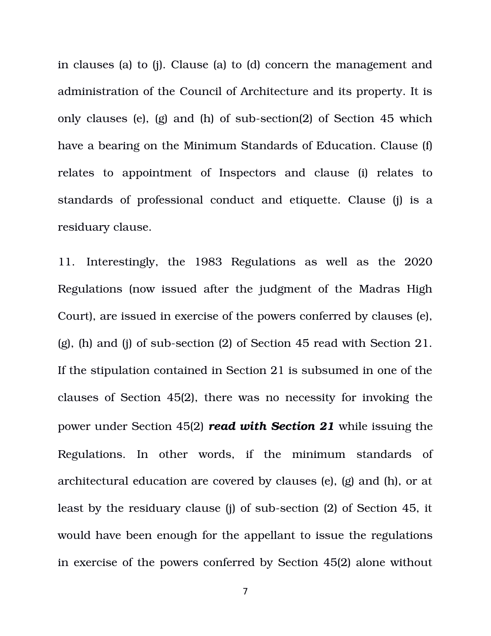in clauses (a) to (j). Clause (a) to (d) concern the management and administration of the Council of Architecture and its property. It is only clauses (e), (g) and (h) of sub-section(2) of Section 45 which have a bearing on the Minimum Standards of Education. Clause (f) relates to appointment of Inspectors and clause (i) relates to standards of professional conduct and etiquette. Clause (j) is a residuary clause.

11. Interestingly, the 1983 Regulations as well as the 2020 Regulations (now issued after the judgment of the Madras High Court), are issued in exercise of the powers conferred by clauses (e), (g), (h) and (j) of sub-section (2) of Section 45 read with Section 21. If the stipulation contained in Section 21 is subsumed in one of the clauses of Section 45(2), there was no necessity for invoking the power under Section 45(2) *read with Section 21* while issuing the Regulations. In other words, if the minimum standards of architectural education are covered by clauses (e), (g) and (h), or at least by the residuary clause (i) of sub-section (2) of Section 45, it would have been enough for the appellant to issue the regulations in exercise of the powers conferred by Section 45(2) alone without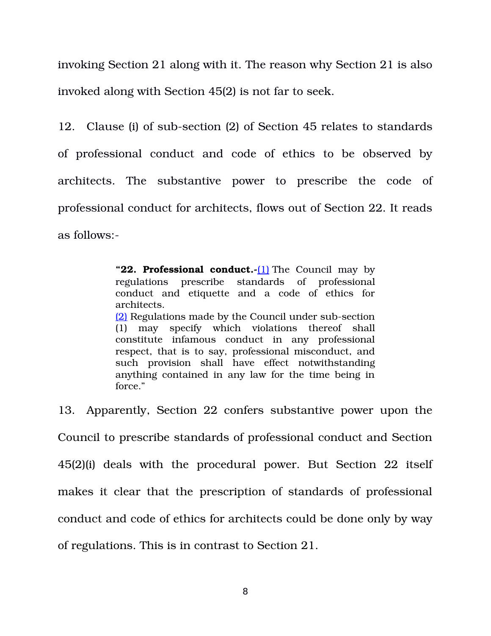invoking Section 21 along with it. The reason why Section 21 is also invoked along with Section 45(2) is not far to seek.

12. Clause (i) of sub-section (2) of Section 45 relates to standards of professional conduct and code of ethics to be observed by architects. The substantive power to prescribe the code of professional conduct for architects, flows out of Section 22. It reads as follows:

> "22. **Professional conduct.-**[1] The Council may by regulations prescribe standards of professional conduct and etiquette and a code of ethics for architects. [\(2\)](https://indiankanoon.org/doc/214609/) Regulations made by the Council under sub-section (1) may specify which violations thereof shall constitute infamous conduct in any professional respect, that is to say, professional misconduct, and such provision shall have effect notwithstanding anything contained in any law for the time being in force."

13. Apparently, Section 22 confers substantive power upon the Council to prescribe standards of professional conduct and Section 45(2)(i) deals with the procedural power. But Section 22 itself makes it clear that the prescription of standards of professional conduct and code of ethics for architects could be done only by way of regulations. This is in contrast to Section 21.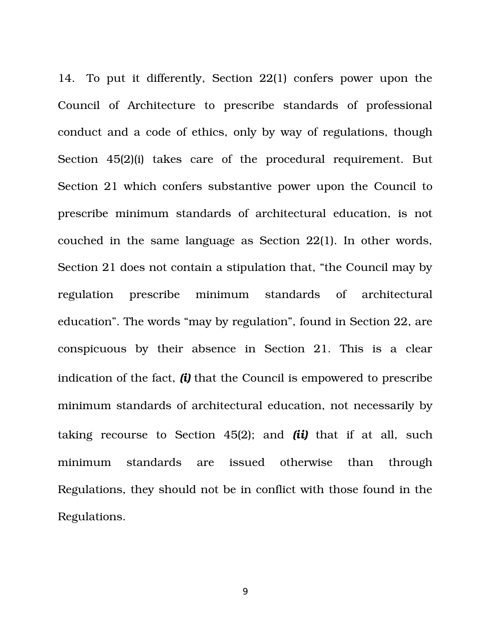14. To put it differently, Section 22(1) confers power upon the Council of Architecture to prescribe standards of professional conduct and a code of ethics, only by way of regulations, though Section 45(2)(i) takes care of the procedural requirement. But Section 21 which confers substantive power upon the Council to prescribe minimum standards of architectural education, is not couched in the same language as Section 22(1). In other words, Section 21 does not contain a stipulation that, "the Council may by regulation prescribe minimum standards of architectural education". The words "may by regulation", found in Section 22, are conspicuous by their absence in Section 21. This is a clear indication of the fact, *(i)* that the Council is empowered to prescribe minimum standards of architectural education, not necessarily by taking recourse to Section  $45(2)$ ; and  $(i\mathbf{i})$  that if at all, such minimum standards are issued otherwise than through Regulations, they should not be in conflict with those found in the Regulations.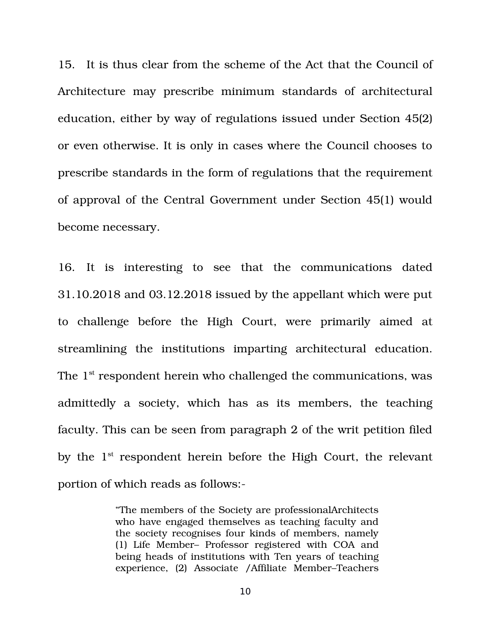15. It is thus clear from the scheme of the Act that the Council of Architecture may prescribe minimum standards of architectural education, either by way of regulations issued under Section 45(2) or even otherwise. It is only in cases where the Council chooses to prescribe standards in the form of regulations that the requirement of approval of the Central Government under Section 45(1) would become necessary.

16. It is interesting to see that the communications dated 31.10.2018 and 03.12.2018 issued by the appellant which were put to challenge before the High Court, were primarily aimed at streamlining the institutions imparting architectural education. The  $1<sup>st</sup>$  respondent herein who challenged the communications, was admittedly a society, which has as its members, the teaching faculty. This can be seen from paragraph 2 of the writ petition filed by the  $1<sup>st</sup>$  respondent herein before the High Court, the relevant portion of which reads as follows:

> "The members of the Society are professionalArchitects who have engaged themselves as teaching faculty and the society recognises four kinds of members, namely (1) Life Member– Professor registered with COA and being heads of institutions with Ten years of teaching experience, (2) Associate /Affiliate Member–Teachers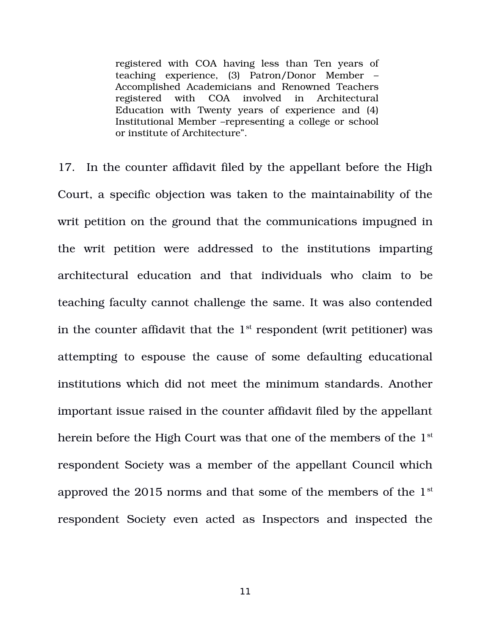registered with COA having less than Ten years of teaching experience, (3) Patron/Donor Member – Accomplished Academicians and Renowned Teachers registered with COA involved in Architectural Education with Twenty years of experience and (4) Institutional Member –representing a college or school or institute of Architecture".

17. In the counter affidavit filed by the appellant before the High Court, a specific objection was taken to the maintainability of the writ petition on the ground that the communications impugned in the writ petition were addressed to the institutions imparting architectural education and that individuals who claim to be teaching faculty cannot challenge the same. It was also contended in the counter affidavit that the  $1<sup>st</sup>$  respondent (writ petitioner) was attempting to espouse the cause of some defaulting educational institutions which did not meet the minimum standards. Another important issue raised in the counter affidavit filed by the appellant herein before the High Court was that one of the members of the 1<sup>st</sup> respondent Society was a member of the appellant Council which approved the 2015 norms and that some of the members of the 1st respondent Society even acted as Inspectors and inspected the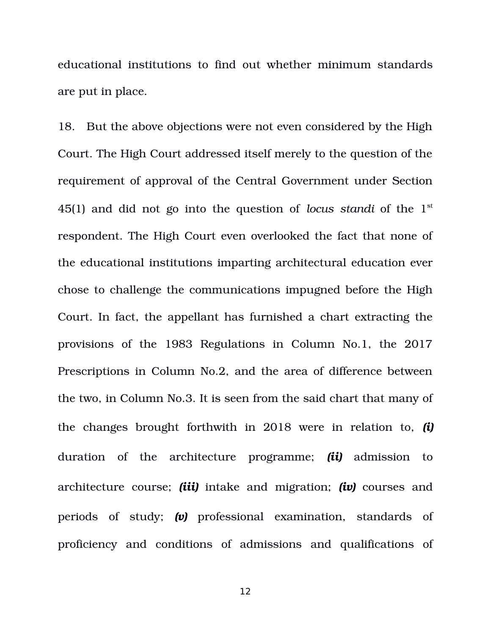educational institutions to find out whether minimum standards are put in place.

18. But the above objections were not even considered by the High Court. The High Court addressed itself merely to the question of the requirement of approval of the Central Government under Section 45(1) and did not go into the question of *locus standi* of the 1<sup>st</sup> respondent. The High Court even overlooked the fact that none of the educational institutions imparting architectural education ever chose to challenge the communications impugned before the High Court. In fact, the appellant has furnished a chart extracting the provisions of the 1983 Regulations in Column No.1, the 2017 Prescriptions in Column No.2, and the area of difference between the two, in Column No.3. It is seen from the said chart that many of the changes brought forthwith in 2018 were in relation to, *(i)* duration of the architecture programme; *(ii)* admission to architecture course; *(iii)* intake and migration; *(iv)* courses and periods of study; *(v)* professional examination, standards of proficiency and conditions of admissions and qualifications of